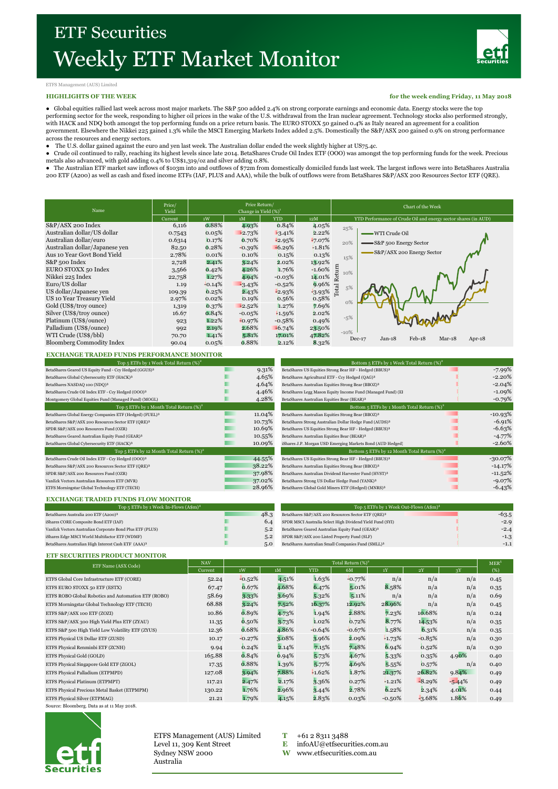

# ETFS Management (AUS) Limited

## **HIGHLIGHTS OF THE WEEK**

**for the week ending Friday, 11 May 2018**

● Global equities rallied last week across most major markets. The S&P 500 added 2.4% on strong corporate earnings and economic data. Energy stocks were the top<br>performing sector for the week, responding to higher oil pri with HACK and NDQ both amongst the top performing funds on a price return basis. The EURO STOXX 50 gained 0.4% as Italy neared an agreement for a coalition government. Elsewhere the Nikkei 225 gained 1.3% while the MSCI Emerging Markets Index added 2.5%. Domestically the S&P/ASX 200 gained 0.9% on strong performance across the resources and energy sectors.

- 
- The U.S. dollar gained against the euro and yen last week. The Australian dollar ended the week slightly higher at US75.4c.<br>● Crude oil continued to rally, reaching its highest levels since late 2014. BetaShares Crude O metals also advanced, with gold adding 0.4% to US\$1,319/oz and silver adding 0.8%.
- The Australian ETF market saw inflows of \$103m into and outflows of \$72m from domestically domiciled funds last week. The largest inflows were into BetaShares Australia

200 ETF (A200) as well as cash and fixed income ETFs (IAF, PLUS and AAA), while the bulk of outflows were from BetaShares S&P/ASX 200 Resources Sector ETF (QRE).

| Name                             | Price/<br>Yield | Price Return/<br>Change in Yield $(\%)^1$ |          |            |          | Chart of the Week                                                   |  |  |  |
|----------------------------------|-----------------|-------------------------------------------|----------|------------|----------|---------------------------------------------------------------------|--|--|--|
|                                  | Current         | 1W                                        | 1M       | <b>YTD</b> | 12M      | YTD Performance of Crude Oil and energy sector shares (in AUD)      |  |  |  |
| S&P/ASX 200 Index                | 6,116           | 0.88%                                     | 4.93%    | 0.84%      | 4.05%    | 25%                                                                 |  |  |  |
| Australian dollar/US dollar      | 0.7543          | 0.05%                                     | $-2.73%$ | $-3.41%$   | 2.22%    | WTI Crude Oil                                                       |  |  |  |
| Australian dollar/euro           | 0.6314          | 0.17%                                     | 0.70%    | $-2.95%$   | $-7.07%$ | 20%<br>=S&P 500 Energy Sector                                       |  |  |  |
| Australian dollar/Japanese ven   | 82.50           | 0.28%                                     | $-0.39%$ | $-6.29%$   | $-1.81%$ |                                                                     |  |  |  |
| Aus 10 Year Govt Bond Yield      | 2.78%           | 0.01%                                     | 0.10%    | 0.15%      | 0.13%    | S&P/ASX 200 Energy Sector<br>15%                                    |  |  |  |
| S&P 500 Index                    | 2,728           | 2.41%                                     | 3.24%    | 2.02%      | 13.92%   |                                                                     |  |  |  |
| EURO STOXX 50 Index              | 3,566           | 0.42%                                     | 4.26%    | 1.76%      | $+1.60%$ | turn<br>10%                                                         |  |  |  |
| Nikkei 225 Index                 | 22,758          | 1.27%                                     | 4.94%    | $-0.03%$   | 14.01%   | Rei                                                                 |  |  |  |
| Euro/US dollar                   | 1.19            | $-0.14%$                                  | $-3.43%$ | $-0.52%$   | 9.96%    | 5%                                                                  |  |  |  |
| US dollar/Japanese ven           | 109.39          | 0.25%                                     | 2.43%    | $-2.93%$   | $-3.93%$ | Total                                                               |  |  |  |
| US 10 Year Treasury Yield        | 2.97%           | 0.02%                                     | 0.19%    | 0.56%      | 0.58%    | $O\%$                                                               |  |  |  |
| Gold (US\$/troy ounce)           | 1,319           | 0.37%                                     | $-2.52%$ | 1.27%      | 7.69%    |                                                                     |  |  |  |
| Silver (US\$/troy ounce)         | 16.67           | 0.84%                                     | $-0.05%$ | $+1.59%$   | 2.02%    |                                                                     |  |  |  |
| Platinum (US\$/ounce)            | 923             | 1.22%                                     | $-0.97%$ | $-0.58%$   | 0.49%    | $-5%$                                                               |  |  |  |
| Palladium (US\$/ounce)           | 992             | 2.19%                                     | 2.68%    | $-6.74%$   | 23.50%   |                                                                     |  |  |  |
| WTI Crude (US\$/bbl)             | 70.70           | 1.41%                                     | 5.81%    | 17.01%     | 47.82%   | $-10%$<br>$Feb-18$<br>$Jan-18$<br>$Mar-18$<br>$Dec-17$<br>Apr- $18$ |  |  |  |
| <b>Bloomberg Commodity Index</b> | 90.04           | 0.05%                                     | 0.88%    | 2.12%      | 8.32%    |                                                                     |  |  |  |

## **EXCHANGE TRADED FUNDS PERFORMANCE MONITOR**

| Top 5 ETFs by 1 Week Total Return $(\%)^2$                          |        |  |  |  |  |  |
|---------------------------------------------------------------------|--------|--|--|--|--|--|
| BetaShares Geared US Equity Fund - Ccy Hedged (GGUS) <sup>3</sup>   | 9.31%  |  |  |  |  |  |
| BetaShares Global Cybersecurity ETF (HACK) <sup>3</sup>             | 4.65%  |  |  |  |  |  |
| BetaShares NASDAQ 100 (NDQ)3                                        | 4.64%  |  |  |  |  |  |
| BetaShares Crude Oil Index ETF - Ccy Hedged (OOO) <sup>3</sup>      | 4.46%  |  |  |  |  |  |
| Montgomery Global Equities Fund (Managed Fund) (MOGL)               | 4.28%  |  |  |  |  |  |
| Top 5 ETFs by 1 Month Total Return $(\%)^2$                         |        |  |  |  |  |  |
| BetaShares Global Energy Companies ETF (Hedged) (FUEL) <sup>3</sup> | 11.04% |  |  |  |  |  |
| BetaShares S&P/ASX 200 Resources Sector ETF (QRE) <sup>3</sup>      | 10.73% |  |  |  |  |  |
| SPDR S&P/ASX 200 Resources Fund (OZR)                               | 10.69% |  |  |  |  |  |
| BetaShares Geared Australian Equity Fund (GEAR) <sup>3</sup>        | 10.55% |  |  |  |  |  |
| BetaShares Global Cybersecurity ETF (HACK) <sup>3</sup>             | 10.09% |  |  |  |  |  |
| Top 5 ETFs by 12 Month Total Return $(\%)^2$                        |        |  |  |  |  |  |
| BetaShares Crude Oil Index ETF - Ccy Hedged (OOO) <sup>3</sup>      | 44.55% |  |  |  |  |  |
| BetaShares S&P/ASX 200 Resources Sector ETF (QRE) <sup>3</sup>      | 38.22% |  |  |  |  |  |
| SPDR S&P/ASX 200 Resources Fund (OZR)                               | 37.98% |  |  |  |  |  |
| VanEck Vectors Australian Resources ETF (MVR)                       | 37.02% |  |  |  |  |  |
| ETFS Morningstar Global Technology ETF (TECH)                       | 28.96% |  |  |  |  |  |
|                                                                     |        |  |  |  |  |  |

| Top 5 ETFs by 1 Week Total Return $(\%)^2$                     |  |        | Bottom 5 ETFs by 1 Week Total Return $(\%)^2$                      |            |  |  |
|----------------------------------------------------------------|--|--------|--------------------------------------------------------------------|------------|--|--|
| BetaShares Geared US Equity Fund - Ccy Hedged (GGUS)3          |  | 9.31%  | BetaShares US Equities Strong Bear HF - Hedged (BBUS) <sup>3</sup> | -7.99%     |  |  |
| BetaShares Global Cybersecurity ETF (HACK) <sup>3</sup>        |  | 4.65%  | BetaShares Agricultural ETF - Ccy Hedged (QAG) <sup>3</sup>        | $-2.20%$   |  |  |
| BetaShares NASDAQ 100 (NDQ)3                                   |  | 4.64%  | BetaShares Australian Equities Strong Bear (BBOZ) <sup>3</sup>     | $-2.04%$   |  |  |
| BetaShares Crude Oil Index ETF - Ccy Hedged (OOO) <sup>3</sup> |  | 4.46%  | BetaShares Legg Mason Equity Income Fund (Managed Fund) (El        | $-1.09%$   |  |  |
| Montgomery Global Equities Fund (Managed Fund) (MOGL)          |  | 4.28%  | BetaShares Australian Equities Bear (BEAR) <sup>3</sup>            | $-0.79\%$  |  |  |
| Top 5 ETFs by 1 Month Total Return $(\%)^2$                    |  |        | Bottom 5 ETFs by 1 Month Total Return $(\%)^2$                     |            |  |  |
| BetaShares Global Energy Companies ETF (Hedged) (FUEL)3        |  | 11.04% | BetaShares Australian Equities Strong Bear (BBOZ) <sup>3</sup>     | $-10.93\%$ |  |  |
| BetaShares S&P/ASX 200 Resources Sector ETF (QRE) <sup>3</sup> |  | 10.73% | BetaShares Strong Australian Dollar Hedge Fund (AUDS) <sup>3</sup> | $-6.91%$   |  |  |
| SPDR S&P/ASX 200 Resources Fund (OZR)                          |  | 10.69% | BetaShares US Equities Strong Bear HF - Hedged (BBUS) <sup>3</sup> | $-6.63%$   |  |  |
| BetaShares Geared Australian Equity Fund (GEAR) <sup>3</sup>   |  | 10.55% | BetaShares Australian Equities Bear (BEAR) <sup>3</sup>            | $-4.77%$   |  |  |
| BetaShares Global Cybersecurity ETF (HACK) <sup>3</sup>        |  | 10.09% | iShares J.P. Morgan USD Emerging Markets Bond (AUD Hedged)         | $-2.60\%$  |  |  |
| Top 5 ETFs by 12 Month Total Return $(\%)^2$                   |  |        | Bottom 5 ETFs by 12 Month Total Return $(\%)^2$                    |            |  |  |
| BetaShares Crude Oil Index ETF - Ccy Hedged (OOO) <sup>3</sup> |  | 44.55% | BetaShares US Equities Strong Bear HF - Hedged (BBUS) <sup>3</sup> | $-30.07\%$ |  |  |
| BetaShares S&P/ASX 200 Resources Sector ETF (QRE)3             |  | 38.22% | BetaShares Australian Equities Strong Bear (BBOZ) <sup>3</sup>     | $-14.17%$  |  |  |
| SPDR S&P/ASX 200 Resources Fund (OZR)                          |  | 37.98% | BetaShares Australian Dividend Harvester Fund (HVST) <sup>3</sup>  | $-11.52\%$ |  |  |
| VanEck Vectors Australian Resources ETF (MVR)                  |  | 37.02% | BetaShares Strong US Dollar Hedge Fund (YANK) <sup>3</sup>         | $-9.07\%$  |  |  |
| ETFS Morningstar Global Technology ETF (TECH)                  |  | 28.96% | BetaShares Global Gold Miners ETF (Hedged) (MNRS) <sup>3</sup>     | $-6.43%$   |  |  |
|                                                                |  |        |                                                                    |            |  |  |

## **EXCHANGE TRADED FUNDS FLOW MONITOR**

| Top 5 ETFs by 1 Week In-Flows $(A\$ m{s}m)^4                    |      | Top 5 ETFs by 1 Week Out-Flows (A\$m) <sup>4</sup>             |         |  |  |
|-----------------------------------------------------------------|------|----------------------------------------------------------------|---------|--|--|
| BetaShares Australia 200 ETF (A200) <sup>3</sup>                | 48.3 | BetaShares S&P/ASX 200 Resources Sector ETF (QRE)3             | $-63.5$ |  |  |
| iShares CORE Composite Bond ETF (IAF)                           | 6.4  | SPDR MSCI Australia Select High Dividend Yield Fund (SYI)      | $-2.9$  |  |  |
| VanEck Vectors Australian Corporate Bond Plus ETF (PLUS)        | 5.2  | BetaShares Geared Australian Equity Fund (GEAR) <sup>3</sup>   | $-2.4$  |  |  |
| iShares Edge MSCI World Multifactor ETF (WDMF)                  | 5.2  | SPDR S&P/ASX 200 Listed Property Fund (SLF)                    | $-1.3$  |  |  |
| BetaShares Australian High Interest Cash ETF (AAA) <sup>3</sup> | 5.0  | BetaShares Australian Small Companies Fund (SMLL) <sup>3</sup> | $-1.1$  |  |  |
|                                                                 |      |                                                                |         |  |  |

#### **ETF SECURITIES PRODUCT MONITOR**

| ETF Name (ASX Code)                                 | <b>NAV</b> | Total Return (%) <sup>2</sup> |       |            |          |           |          |          | MER <sup>5</sup> |
|-----------------------------------------------------|------------|-------------------------------|-------|------------|----------|-----------|----------|----------|------------------|
|                                                     | Current    | 1W                            | 1M    | <b>YTD</b> | 6M       | 1Y        | 2Y       | 3Y       | (%)              |
| ETFS Global Core Infrastructure ETF (CORE)          | 52.24      | $-0.52%$                      | 4.51% | 1.63%      | $+0.77%$ | n/a       | n/a      | n/a      | 0.45             |
| ETFS EURO STOXX 50 ETF (ESTX)                       | 67.47      | 0.67%                         | 4.68% | 6.47%      | 5.01%    | 8.58%     | n/a      | n/a      | 0.35             |
| ETFS ROBO Global Robotics and Automation ETF (ROBO) | 58.69      | 3.33%                         | 3.69% | 5.32%      | 5.11%    | n/a       | n/a      | n/a      | 0.69             |
| ETFS Morningstar Global Technology ETF (TECH)       | 68.88      | 3.24%                         | 7.52% | 16.37%     | 12.92%   | 28.96%    | n/a      | n/a      | 0.45             |
| ETFS S&P/ASX 100 ETF (ZOZI)                         | 10.86      | 0.89%                         | 4.73% | 1.94%      | 2.88%    | 7.23%     | 10.68%   | n/a      | 0.24             |
| ETFS S&P/ASX 300 High Yield Plus ETF (ZYAU)         | 11.35      | 0.50%                         | 3.73% | 1.02%      | 0.72%    | 8.77%     | 14.53%   | n/a      | 0.35             |
| ETFS S&P 500 High Yield Low Volatility ETF (ZYUS)   | 12.36      | 0.68%                         | 4.86% | $-0.64%$   | $-0.67%$ | 1.58%     | 6.31%    | n/a      | 0.35             |
| ETFS Physical US Dollar ETF (ZUSD)                  | 10.17      | $-0.27%$                      | 3.08% | 3.96%      | 2.09%    | $-1.73%$  | $-0.85%$ | n/a      | 0.30             |
| ETFS Physical Renminbi ETF (ZCNH)                   | 9.94       | 0.24%                         | 2.14% | 7.15%      | 7.48%    | 6.94%     | 0.52%    | n/a      | 0.30             |
| ETFS Physical Gold (GOLD)                           | 165.88     | 0.84%                         | 0.94% | 5.73%      | 4.67%    | 5.33%     | 0.35%    | 4.90%    | 0.40             |
| ETFS Physical Singapore Gold ETF (ZGOL)             | 17.35      | 0.88%                         | 1.39% | 5.77%      | 4.69%    | 5.55%     | 0.57%    | n/a      | 0.40             |
| ETFS Physical Palladium (ETPMPD)                    | 127.08     | 3.94%                         | 7.88% | $-1.62%$   | 1.87%    | 21.37%    | 26.82%   | 9.84%    | 0.49             |
| ETFS Physical Platinum (ETPMPT)                     | 117.21     | 2.47%                         | 2.17% | 3.36%      | 0.27%    | $-1.21%$  | $-8.29%$ | $-5.44%$ | 0.49             |
| ETFS Physical Precious Metal Basket (ETPMPM)        | 130.22     | 1.76%                         | 2.96% | 3.44%      | 2.78%    | 6.22%     | 2.34%    | 4.01%    | 0.44             |
| ETFS Physical Silver (ETPMAG)                       | 21.21      | 1.79%                         | 4.15% | 2.83%      | 0.03%    | $-0.50\%$ | $-3.68%$ | 1.86%    | 0.49             |

Source: Bloomberg. Data as at 11 May 2018.



ETFS Management (AUS) Limited  $T$  +61 2 8311 3488 Level 11, 309 Kent Street **E** [infoAU@etfsecurities.com.au](mailto:infoAU@etfsecurities.com.au)<br>Sydney NSW 2000 **W** www.etfsecurities.com.au Australia

W [www.etfsecurities.com.au](http://www.etfsecurities.com.au/)